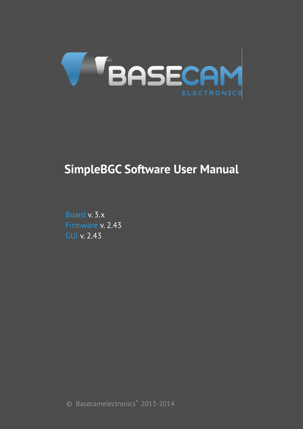

# **SimpleBGC Software User Manual**

Board v. 3.x Firmware v. 2.43 GUI v. 2.43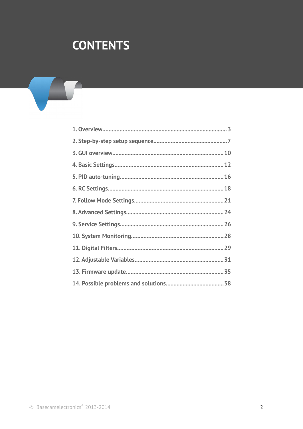# **CONTENTS**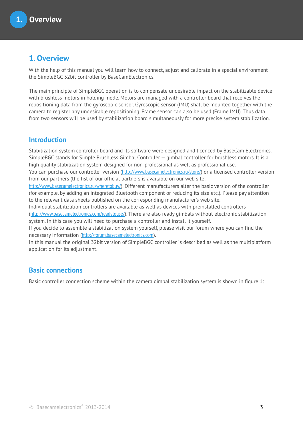## **1. Overview**

With the help of this manual you will learn how to connect, adjust and calibrate in a special environment the SimpleBGC 32bit controller by BaseCamElectronics.

The main principle of SimpleBGC operation is to compensate undesirable impact on the stabilizable device with brushless motors in holding mode. Motors are managed with a controller board that receives the repositioning data from the gyroscopic sensor. Gyroscopic sensor (IMU) shall be mounted together with the camera to register any undesirable repositioning. Frame sensor can also be used (Frame IMU). Thus data from two sensors will be used by stabilization board simultaneously for more precise system stabilization.

### **Introduction**

Stabilization system controller board and its software were designed and licenced by BaseCam Electronics. SimpleBGC stands for Simple Brushless Gimbal Controller — gimbal controller for brushless motors. It is a high quality stabilization system designed for non-professional as well as professional use.

You can purchase our controller version (<http://www.basecamelectronics.ru/store/>) or a licensed controller version from our partners (the list of our official partners is available on our web site:

<http://www.basecamelectronics.ru/wheretobuy/>). Different manufacturers alter the basic version of the controller (for example, by adding an integrated Bluetooth component or reducing its size etc.). Please pay attention to the relevant data sheets published on the corresponding manufacturer's web site.

Individual stabilization controllers are available as well as devices with preinstalled controllers (<http://www.basecamelectronics.com/readytouse/>). There are also ready gimbals without electronic stabilization system. In this case you will need to purchase a controller and install it yourself.

If you decide to assemble a stabilization system yourself, please visit our forum where you can find the necessary information ([http://forum.basecamelectronics.com](http://forum.basecamelectronics.com/)).

In this manual the original 32bit version of SimpleBGC controller is described as well as the multiplatform application for its adjustment.

### **Basic connections**

Basic controller connection scheme within the camera gimbal stabilization system is shown in figure 1: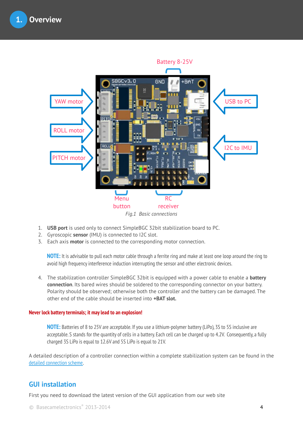

- 1. **USB port** is used only to connect SimpleBGC 32bit stabilization board to PC.
- 2. Gyroscopic **sensor** (IMU) is connected to I2C slot.
- 3. Each axis **motor** is connected to the corresponding motor connection.

**NOTE:** It is advisable to pull each motor cable through a ferrite ring and make at least one loop around the ring to avoid high frequency interference induction interrupting the sensor and other electronic devices.

4. The stabilization controller SimpleBGC 32bit is equipped with a power cable to enable a **battery connection**. Its bared wires should be soldered to the corresponding connector on your battery. Polarity should be observed; otherwise both the controller and the battery can be damaged. The other end of the cable should be inserted into **+BAT slot.**

#### **Never lock battery terminals; it may lead to an explosion!**

**NOTE:** Batteries of 8 to 25V are acceptable. If you use a lithium-polymer battery (LiPo), 3S to 5S inclusive are acceptable. S stands for the quantity of cells in a battery. Each cell can be charged up to 4.2V. Consequently, a fully charged 3S LiPo is equal to 12.6V and 5S LiPo is equal to 21V.

A detailed description of a controller connection within a complete stabilization system can be found in the [detailed connection scheme](#page-38-0).

#### **GUI installation**

First you need to download the latest version of the GUI application from our web site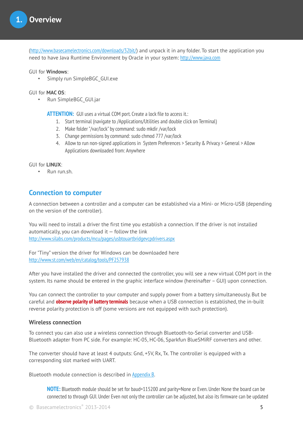(<http://www.basecamelectronics.com/downloads/32bit/>) and unpack it in any folder. To start the application you need to have Java Runtime Environment by Oracle in your system: [http://www.java.com](http://www.java.com/)

GUI for **Windows**:

Simply run SimpleBGC\_GUI.exe

GUI for **MAC OS**:

• Run SimpleBGC GUI.jar

**ATTENTION:**GUI uses a virtual COM port. Create a lock file to access it.:

- 1. Start terminal (navigate to /Applications/Utilities and double click on Terminal)
- 2. Make folder "/var/lock" by command: sudo mkdir /var/lock
- 3. Change permissions by command: sudo chmod 777 /var/lock
- 4. Allow to run non-signed applications in System Preferences > Security & Privacy > General > Allow Applications downloaded from: Anywhere

GUI for **LINUX**:

• Run run.sh.

#### **Connection to computer**

A connection between a controller and a computer can be established via a Mini- or Micro-USB (depending on the version of the controller).

You will need to install a driver the first time you establish a connection. If the driver is not installed automatically, you can download it  $-$  follow the link <http://www.silabs.com/products/mcu/pages/usbtouartbridgevcpdrivers.aspx>

For "Tiny" version the driver for Windows can be downloaded here <http://www.st.com/web/en/catalog/tools/PF257938>

After you have installed the driver and connected the controller, you will see a new virtual COM port in the system. Its name should be entered in the graphic interface window (hereinafter – GUI) upon connection.

You can connect the controller to your computer and supply power from a battery simultaneously. But be careful and **observe polarity of battery terminals** because when a USB connection is established, the in-built reverse polarity protection is off (some versions are not equipped with such protection).

#### **Wireless connection**

To connect you can also use a wireless connection through Bluetooth-to-Serial converter and USB-Bluetooth adapter from PC side. For example: HC-05, HC-06, Sparkfun BlueSMiRF converters and other.

The converter should have at least 4 outputs: Gnd, +5V, Rx, Tx. The controller is equipped with a corresponding slot marked with UART.

Bluetooth module connection is described in [Appendix B](#page-39-0).

**NOTE:** Bluetooth module should be set for baud=115200 and parity=None or Even. Under None the board can be connected to through GUI. Under Even not only the controller can be adjusted, but also its firmware can be updated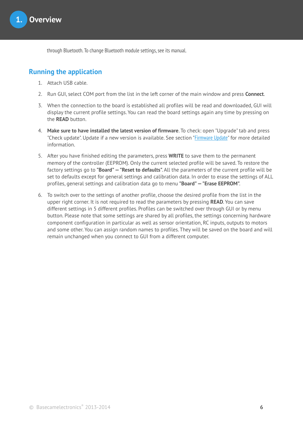through Bluetooth. To change Bluetooth module settings, see its manual.

### **Running the application**

- 1. Attach USB cable.
- 2. Run GUI, select COM port from the list in the left corner of the main window and press **Connect**.
- 3. When the connection to the board is established all profiles will be read and downloaded, GUI will display the current profile settings. You can read the board settings again any time by pressing on the **READ** button.
- 4. **Make sure to have installed the latest version of firmware**. To check: open "Upgrade" tab and press "Check update". Update if a new version is available. See section "[Firmware Update](#page-30-0)" for more detailed information.
- 5. After you have finished editing the parameters, press **WRITE** to save them to the permanent memory of the controller (EEPROM). Only the current selected profile will be saved. To restore the factory settings go to **"Board" — "Reset to defaults"**. All the parameters of the current profile will be set to defaults except for general settings and calibration data. In order to erase the settings of ALL profiles, general settings and calibration data go to menu **"Board" — "Erase EEPROM"**.
- 6. To switch over to the settings of another profile, choose the desired profile from the list in the upper right corner. It is not required to read the parameters by pressing **READ**. You can save different settings in 5 different profiles. Profiles can be switched over through GUI or by menu button. Please note that some settings are shared by all profiles, the settings concerning hardware component configuration in particular as well as sensor orientation, RC inputs, outputs to motors and some other. You can assign random names to profiles. They will be saved on the board and will remain unchanged when you connect to GUI from a different computer.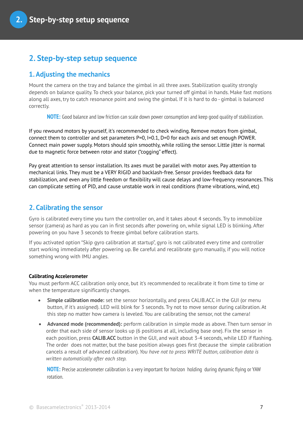## **2. Step-by-step setup sequence**

### **1. Adjusting the mechanics**

Mount the camera on the tray and balance the gimbal in all three axes. Stabilization quality strongly depends on balance quality. To check your balance, pick your turned off gimbal in hands. Make fast motions along all axes, try to catch resonance point and swing the gimbal. If it is hard to do - gimbal is balanced correctly.

**NOTE:** Good balance and low friction can scale down power consumption and keep good quality of stabilization.

If you rewound motors by yourself, it's recommended to check winding. Remove motors from gimbal, connect them to controller and set parameters P=0, I=0.1, D=0 for each axis and set enough POWER. Connect main power supply. Motors should spin smoothly, while rolling the sensor. Little jitter is normal due to magnetic force between rotor and stator ("cogging" effect).

Pay great attention to sensor installation. Its axes must be parallel with motor axes. Pay attention to mechanical links. They must be a VERY RIGID and backlash-free. Sensor provides feedback data for stabilization, and even any little freedom or flexibility will cause delays and low-frequency resonances. This can complicate setting of PID, and cause unstable work in real conditions (frame vibrations, wind, etc)

### **2. Calibrating the sensor**

Gyro is calibrated every time you turn the controller on, and it takes about 4 seconds. Try to immobilize sensor (camera) as hard as you can in first seconds after powering on, while signal LED is blinking. After powering on you have 3 seconds to freeze gimbal before calibration starts.

If you activated option "Skip gyro calibration at startup", gyro is not calibrated every time and controller start working immediately after powering up. Be careful and recalibrate gyro manually, if you will notice something wrong with IMU angles.

#### **Calibrating Accelerometer**

You must perform ACC calibration only once, but it's recommended to recalibrate it from time to time or when the temperature significantly changes.

- **Simple calibration mode:** set the sensor horizontally, and press CALIB.ACC in the GUI (or menu button, if it's assigned). LED will blink for 3 seconds. Try not to move sensor during calibration. At this step no matter how camera is leveled. You are calibrating the sensor, not the camera!
- **Advanced mode (recommended):** perform calibration in simple mode as above. Then turn sensor in order that each side of sensor looks up (6 positions at all, including base one). Fix the sensor in each position, press **CALIB.ACC** button in the GUI, and wait about 3-4 seconds, while LED if flashing. The order does not matter, but the base position always goes first (because the simple calibration cancels a result of advanced calibration). *You have not to press WRITE button, calibration data is written automatically after each step.*

**NOTE:** Precise accelerometer calibration is a very important for horizon holding during dynamic flying or YAW rotation.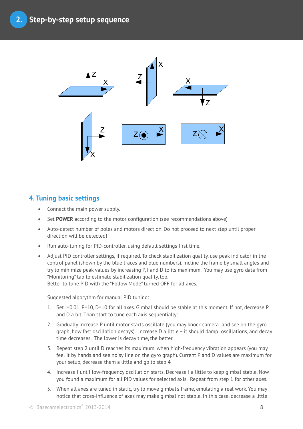

## **4. Tuning basic settings**

- Connect the main power supply.
- Set **POWER** according to the motor configuration (see recommendations above)
- Auto-detect number of poles and motors direction. Do not proceed to next step until proper direction will be detected!
- Run auto-tuning for PID-controller, using default settings first time.
- Adjust PID controller settings, if required. To check stabilization quality, use peak indicator in the control panel (shown by the blue traces and blue numbers). Incline the frame by small angles and try to minimize peak values by increasing P, I and D to its maximum. You may use gyro data from "Monitoring" tab to estimate stabilization quality, too. Better to tune PID with the "Follow Mode" turned OFF for all axes.

Suggested algorythm for manual PID tuning:

- 1. Set I=0.01, P=10, D=10 for all axes. Gimbal should be stable at this moment. If not, decrease P and D a bit. Than start to tune each axis sequentially:
- 2. Gradually increase P until motor starts oscillate (you may knock camera and see on the gyro graph, how fast oscillation decays). Increase D a little – it should damp oscillations, and decay time decreases. The lower is decay time, the better.
- 3. Repeat step 2 until D reaches its maximum, when high-frequency vibration appears (you may feel it by hands and see noisy line on the gyro graph). Current P and D values are maximum for your setup, decrease them a little and go to step 4
- 4. Increase I until low-frequency oscillation starts. Decrease I a little to keep gimbal stable. Now you found a maximum for all PID values for selected axis. Repeat from step 1 for other axes.
- 5. When all axes are tuned in static, try to move gimbal's frame, emulating a real work. You may notice that cross-influence of axes may make gimbal not stable. In this case, decrease a little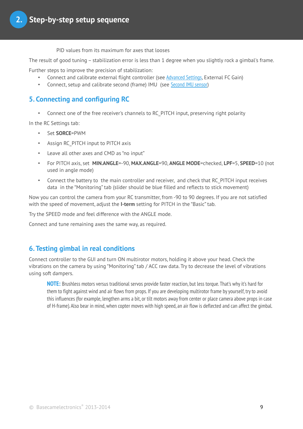PID values from its maximum for axes that looses

The result of good tuning – stabilization error is less than 1 degree when you slightly rock a gimbal's frame.

Further steps to improve the precision of stabilization:

- Connect and calibrate external flight controller (see [Advanced Settings](#page-23-0), External FC Gain)
- Connect, setup and calibrate second (frame) IMU (see [Second IMU sensor](#page-12-0))

## **5. Connecting and configuring RC**

• Connect one of the free receiver's channels to RC\_PITCH input, preserving right polarity

In the RC Settings tab:

- Set **SORCE**=PWM
- Assign RC\_PITCH input to PITCH axis
- Leave all other axes and CMD as "no input"
- For PITCH axis, set **MIN.ANGLE**=-90, **MAX.ANGLE**=90, **ANGLE MODE**=checked, **LPF**=5, **SPEED**=10 (not used in angle mode)
- Connect the battery to the main controller and receiver, and check that RC\_PITCH input receives data in the "Monitoring" tab (slider should be blue filled and reflects to stick movement)

Now you can control the camera from your RC transmitter, from -90 to 90 degrees. If you are not satisfied with the speed of movement, adjust the **I-term** setting for PITCH in the "Basic" tab.

Try the SPEED mode and feel difference with the ANGLE mode.

Connect and tune remaining axes the same way, as required.

### **6. Testing gimbal in real conditions**

Connect controller to the GUI and turn ON multirotor motors, holding it above your head. Check the vibrations on the camera by using "Monitoring" tab / ACC raw data. Try to decrease the level of vibrations using soft dampers.

**NOTE:** Brushless motors versus traditional servos provide faster reaction, but less torque. That's why it's hard for them to fight against wind and air flows from props. If you are developing multirotor frame by yourself, try to avoid this influences (for example, lengthen arms a bit, or tilt motors away from center or place camera above props in case of H-frame). Also bear in mind, when copter moves with high speed, an air flow is deflected and can affect the gimbal.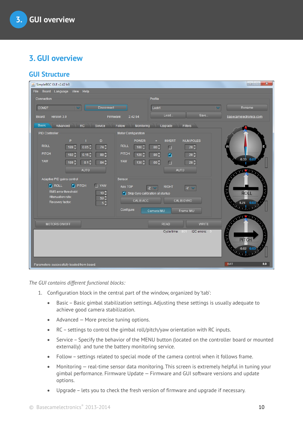## **3. GUI overview**

## **GUI Structure**

| SimpleBGC GUI v2.42 b3                                         |                                                             | $\mathbf{x}$<br>$\Box$           |
|----------------------------------------------------------------|-------------------------------------------------------------|----------------------------------|
| File Board Language<br>View Help                               |                                                             |                                  |
| Connection                                                     | Profile                                                     |                                  |
| <b>Disconnect</b><br>COM27                                     | Lock1                                                       | Rename                           |
| version 3.0<br>Firmware:<br>Board:                             | Load<br>Save<br>2.42 b4                                     | basecamelectronics.com           |
| <b>Basic</b><br>RC<br>Service<br>Advanced                      | Follow<br>Monitoring<br>Upgrade<br>Filters                  |                                  |
| <b>PID Controller</b>                                          | Motor Configuration                                         |                                  |
| P<br>D                                                         | <b>POWER</b><br><b>INVERT</b><br><b>NUM.POLES</b><br>÷      |                                  |
| <b>ROLL</b><br>0.05 <sub>v</sub><br>$74^\circ$<br>$189^\circ$  | <b>ROLL</b><br>$80^\circ$<br>$28^\circ$<br>$100^\circ$<br>П |                                  |
| <b>PITCH</b><br>$0.15^\circ$<br>$88^\circ$<br>182 <sup>-</sup> | PITCH<br>$28^\circ$<br>$120^\circ$<br>$80^\circ$<br>Ø       |                                  |
| YAW<br>$0.1\sqrt[4]{ }$<br>$84^\circ$<br>189 <sup>^</sup>      | YAW<br>$28^\circ$<br>$80^\circ$<br>$130^\circ$<br>П         | $-0.33$<br>0.03                  |
| <b>AUTO</b>                                                    | AUTO                                                        | <b>THE TERM</b>                  |
| Adaptive PID gains control                                     | Sensor                                                      |                                  |
| <b>V</b> ROLL<br><b>V</b> PITCH<br>$\blacksquare$ YAW          | Axis TOP<br><b>RIGHT</b>                                    |                                  |
| RMS error threshold:<br>$10^\circ$                             | Y <br>$-Z$<br>Skip Gyro calibration at startup              | <b>CONTRACTOR</b><br><b>ROLL</b> |
| Attenuation rate:<br>$50^\circ$<br>Recovery factor:            | CALIB.ACC<br>CALIB.GYRO                                     |                                  |
| $5^\circ$                                                      |                                                             | $0.24$ 0.0                       |
|                                                                | Configure:<br>Camera IMU<br>Frame IMU                       |                                  |
| MOTORS ON/OFF                                                  | <b>READ</b><br><b>WRITE</b>                                 | <b>AND ADD</b>                   |
|                                                                | I2C errors: 0<br>Cycle time:<br>801                         |                                  |
|                                                                |                                                             | <b>COMMUNISTRATION</b>           |
|                                                                |                                                             | <b>PITCH</b>                     |
|                                                                |                                                             | $-0.02$ 0.03                     |
|                                                                |                                                             |                                  |
| Parameters successfully loaded from board.                     |                                                             | 0.0<br><b>BAT</b>                |

*The GUI contains different functional blocks:*

- 1. Configuration block in the central part of the window, organized by 'tab':
	- Basic Basic gimbal stabilization settings. Adjusting these settings is usually adequate to achieve good camera stabilization.
	- Advanced More precise tuning options.
	- RC settings to control the gimbal roll/pitch/yaw orientation with RC inputs.
	- Service Specify the behavior of the MENU button (located on the controller board or mounted externally) and tune the battery monitoring service.
	- Follow settings related to special mode of the camera control when it follows frame.
	- Monitoring real-time sensor data monitoring. This screen is extremely helpful in tuning your gimbal performance. Firmware Update — Firmware and GUI software versions and update options.
	- Upgrade lets you to check the fresh version of firmware and upgrade if necessary.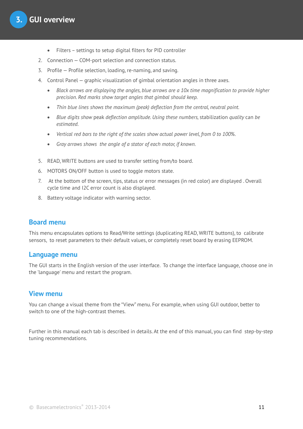- Filters settings to setup digital filters for PID controller
- 2. Connection COM-port selection and connection status.
- 3. Profile Profile selection, loading, re-naming, and saving.
- 4. Control Panel graphic visualization of gimbal orientation angles in three axes.
	- *Black arrows are displaying the angles, blue arrows are a 10x time magnification to provide higher precision. Red marks show target angles that gimbal should keep.*
	- *Thin blue lines shows the maximum (peak) deflection from the central, neutral point.*
	- *Blue digits show* peak *deflection amplitude. Using these numbers,* stabilization *quality* can *be estimated.*
	- *Vertical red bars to the right of the scales show actual power level, from 0 to 100%.*
	- *Gray arrows shows the angle of a stator of each motor, if known.*
- 5. READ, WRITE buttons are used to transfer setting from/to board.
- 6. MOTORS ON/OFF button is used to toggle motors state.
- 7. At the bottom of the screen, tips, status or error messages (in red color) are displayed . Overall cycle time and I2C error count is also displayed.
- 8. Battery voltage indicator with warning sector.

#### **Board menu**

This menu encapsulates options to Read/Write settings (duplicating READ, WRITE buttons), to calibrate sensors, to reset parameters to their default values, or completely reset board by erasing EEPROM.

#### **Language menu**

The GUI starts in the English version of the user interface. To change the interface language, choose one in the 'language' menu and restart the program.

#### **View menu**

You can change a visual theme from the "View" menu. For example, when using GUI outdoor, better to switch to one of the high-contrast themes.

Further in this manual each tab is described in details. At the end of this manual, you can find step-by-step tuning recommendations.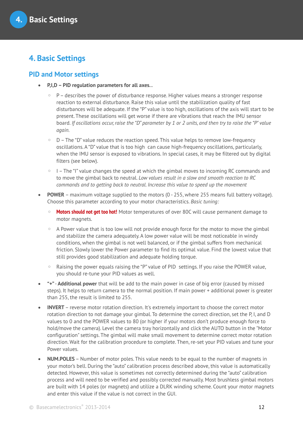## **4. Basic Settings**

### **PID and Motor settings**

- **P,I,D PID regulation parameters for all axes. .**
	- $\circ$  P describes the power of disturbance response. Higher values means a stronger response reaction to external disturbance. Raise this value until the stabilization quality of fast disturbances will be adequate. If the "P" value is too high, oscillations of the axis will start to be present. These oscillations will get worse if there are vibrations that reach the IMU sensor board. *If oscillations occur, raise the "D" parameter by 1 or 2 units, and then try to raise the "P" value again.*
	- D The "D" value reduces the reaction speed. This value helps to remove low-frequency oscillations. A "D" value that is too high can cause high-frequency oscillations, particularly, when the IMU sensor is exposed to vibrations. In special cases, it may be filtered out by digital filters (see below).
	- I The "I" value changes the speed at which the gimbal moves to incoming RC commands and to move the gimbal back to neutral. *Low values result in a slow and smooth reaction to RC commands and to getting back to neutral. Increase this value to speed up the movement*
- **POWER** maximum voltage supplied to the motors (0 255, where 255 means full battery voltage). Choose this parameter according to your motor characteristics. *Basic tuning:*
	- **Motors should not get too hot!** Motor temperatures of over 80C will cause permanent damage to motor magnets.
	- A Power value that is too low will not provide enough force for the motor to move the gimbal and stabilize the camera adequately. A low power value will be most noticeable in windy conditions, when the gimbal is not well balanced, or if the gimbal suffers from mechanical friction. Slowly lower the Power parameter to find its optimal value. Find the lowest value that still provides good stabilization and adequate holding torque.
	- Raising the power equals raising the "P" value of PID settings. If you raise the POWER value, you should re-tune your PID values as well.
- **"+" Additional power** that will be add to the main power in case of big error (caused by missed steps). It helps to return camera to the normal position. If main power + additional power is greater than 255, the result is limited to 255.
- **INVERT**  reverse motor rotation direction. It's extremely important to choose the correct motor rotation direction to not damage your gimbal. To determine the correct direction, set the P, I, and D values to 0 and the POWER values to 80 (or higher if your motors don't produce enough force to hold/move the camera). Level the camera tray horizontally and click the AUTO button in the "Motor configuration" settings. The gimbal will make small movement to determine correct motor rotation direction. Wait for the calibration procedure to complete. Then, re-set your PID values and tune your Power values.
- **NUM.POLES** Number of motor poles. This value needs to be equal to the number of magnets in your motor's bell. During the "auto" calibration process described above, this value is automatically detected. However, this value is sometimes not correctly determined during the "auto" calibration process and will need to be verified and possibly corrected manually. Most brushless gimbal motors are built with 14 poles (or magnets) and utilize a DLRK winding scheme. Count your motor magnets and enter this value if the value is not correct in the GUI.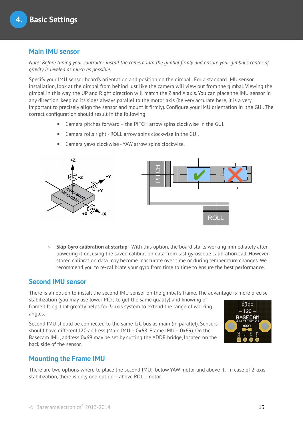## **Main IMU sensor**

*Note: Before tuning your controller, install the camera into the gimbal firmly and ensure your gimbal's center of gravity is leveled as much as possible.*

Specify your IMU sensor board's orientation and position on the gimbal . For a standard IMU sensor installation, look at the gimbal from behind just like the camera will view out from the gimbal. Viewing the gimbal in this way, the UP and Right direction will match the Z and X axis. You can place the IMU sensor in any direction, keeping its sides always parallel to the motor axis (be very accurate here, it is a very important to precisely align the sensor and mount it firmly). Configure your IMU orientation in the GUI. The correct configuration should result in the following:

- Camera pitches forward the PITCH arrow spins clockwise in the GUI.
- Camera rolls right ROLL arrow spins clockwise in the GUI.
- Camera yaws clockwise YAW arrow spins clockwise.



◦ **Skip Gyro calibration at startup** - With this option, the board starts working immediately after powering it on, using the saved calibration data from last gyroscope calibration call. However, stored calibration data may become inaccurate over time or during temperature changes. We recommend you to re-calibrate your gyro from time to time to ensure the best performance.

### <span id="page-12-0"></span>**Second IMU sensor**

There is an option to install the second IMU sensor on the gimbal's frame. The advantage is more precise

stabilization (you may use lower PID's to get the same quality) and knowing of frame tilting, that greatly helps for 3-axis system to extend the range of working angles.

Second IMU should be connected to the same I2C bus as main (in parallel). Sensors should have different I2C-address (Main IMU – 0x68, Frame IMU – 0x69). On the Basecam IMU, address 0x69 may be set by cutting the ADDR bridge, located on the back side of the sensor.



### **Mounting the Frame IMU**

There are two options where to place the second IMU: below YAW motor and above it. In case of 2-axis stabilization, there is only one option – above ROLL motor.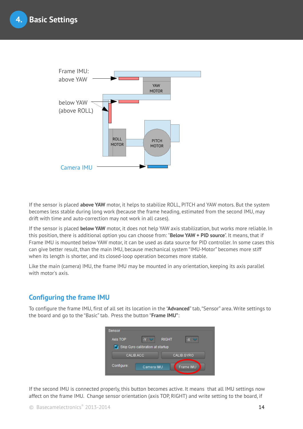

If the sensor is placed **above YAW** motor, it helps to stabilize ROLL, PITCH and YAW motors. But the system becomes less stable during long work (because the frame heading, estimated from the second IMU, may drift with time and auto-correction may not work in all cases).

If the sensor is placed **below YAW** motor, it does not help YAW axis stabilization, but works more reliable. In this position, there is additional option you can choose from: "**Below YAW + PID source**". It means, that if Frame IMU is mounted below YAW motor, it can be used as data source for PID controller. In some cases this can give better result, than the main IMU, because mechanical system "IMU-Motor" becomes more stiff when its length is shorter, and its closed-loop operation becomes more stable.

Like the main (camera) IMU, the frame IMU may be mounted in any orientation, keeping its axis parallel with motor's axis.

## **Configuring the frame IMU**

To configure the frame IMU, first of all set its location in the "**Advanced**" tab, "Sensor" area. Write settings to the board and go to the "Basic" tab. Press the button "**Frame IMU"**:



If the second IMU is connected properly, this button becomes active. It means that all IMU settings now affect on the frame IMU. Change sensor orientation (axis TOP, RIGHT) and write setting to the board, if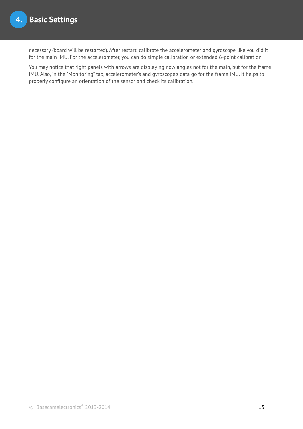necessary (board will be restarted). After restart, calibrate the accelerometer and gyroscope like you did it for the main IMU. For the accelerometer, you can do simple calibration or extended 6-point calibration.

You may notice that right panels with arrows are displaying now angles not for the main, but for the frame IMU. Also, in the "Monitoring" tab, accelerometer's and gyroscope's data go for the frame IMU. It helps to properly configure an orientation of the sensor and check its calibration.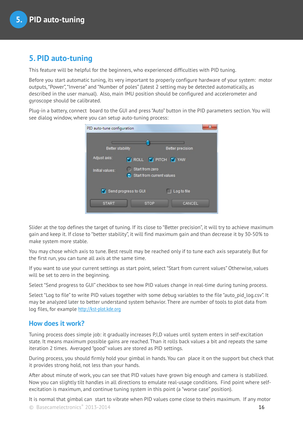## **5. PID auto-tuning**

This feature will be helpful for the beginners, who experienced difficulties with PID tuning.

Before you start automatic tuning, its very important to properly configure hardware of your system: motor outputs, "Power", "Inverse" and "Number of poles" (latest 2 setting may be detected automatically, as described in the user manual). Also, main IMU position should be configured and accelerometer and gyroscope should be calibrated.

Plug-in a battery, connect board to the GUI and press "Auto" button in the PID parameters section. You will see dialog window, where you can setup auto-tuning process:

| PID auto-tune configuration         | S.                                           |  |
|-------------------------------------|----------------------------------------------|--|
| Better stability                    | <b>Better precision</b>                      |  |
| Adjust axis:                        | ROLL <b>V</b> PITCH V YAW                    |  |
| Initial values:                     | Start from zero<br>Start from current values |  |
| Send progress to GUI<br>Log to file |                                              |  |
| <b>START</b>                        | CANCEL<br><b>STOP</b>                        |  |

Slider at the top defines the target of tuning. If its close to "Better precision", it will try to achieve maximum gain and keep it. If close to "better stability", it will find maximum gain and than decrease it by 30-50% to make system more stable.

You may chose which axis to tune. Best result may be reached only if to tune each axis separately. But for the first run, you can tune all axis at the same time.

If you want to use your current settings as start point, select "Start from current values" Otherwise, values will be set to zero in the beginning.

Select "Send progress to GUI" checkbox to see how PID values change in real-time during tuning process.

Select "Log to file" to write PID values together with some debug variables to the file "auto pid log.csv". It may be analyzed later to better understand system behavior. There are number of tools to plot data from log files, for example [http://kst-plot.kde.org](http://kst-plot.kde.org/)

#### **How does it work?**

Tuning process does simple job: it gradually increases P,I,D values until system enters in self-excitation state. It means maximum possible gains are reached. Than it rolls back values a bit and repeats the same iteration 2 times. Averaged "good" values are stored as PID settings.

During process, you should firmly hold your gimbal in hands. You can place it on the support but check that it provides strong hold, not less than your hands.

After about minute of work, you can see that PID values have grown big enough and camera is stabilized. Now you can slightly tilt handles in all directions to emulate real-usage conditions. Find point where selfexcitation is maximum, and continue tuning system in this point (a "worse case" position).

It is normal that gimbal can start to vibrate when PID values come close to theirs maximum. If any motor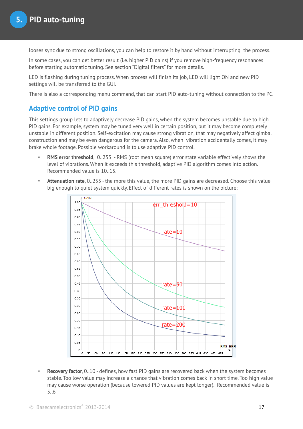looses sync due to strong oscillations, you can help to restore it by hand without interrupting the process.

In some cases, you can get better result (i.e. higher PID gains) if you remove high-frequency resonances before starting automatic tuning. See section "Digital filters" for more details.

LED is flashing during tuning process. When process will finish its job, LED will light ON and new PID settings will be transferred to the GUI.

There is also a corresponding menu command, that can start PID auto-tuning without connection to the PC.

#### **Adaptive control of PID gains**

This settings group lets to adaptively decrease PID gains, when the system becomes unstable due to high PID gains. For example, system may be tuned very well in certain position, but it may become completely unstable in different position. Self-excitation may cause strong vibration, that may negatively affect gimbal construction and may be even dangerous for the camera. Also, when vibration accidentally comes, it may brake whole footage. Possible workaround is to use adaptive PID control.

- **RMS error threshold**, 0..255 RMS (root mean square) error state variable effectively shows the level of vibrations. When it exceeds this threshold, adaptive PID algorithm comes into action. Recommended value is 10..15.
- **Attenuation rate**, 0..255 the more this value, the more PID gains are decreased. Choose this value big enough to quiet system quickly. Effect of different rates is shown on the picture:



• **Recovery factor**, 0..10 - defines, how fast PID gains are recovered back when the system becomes stable. Too low value may increase a chance that vibration comes back in short time. Too high value may cause worse operation (because lowered PID values are kept longer). Recommended value is 5..6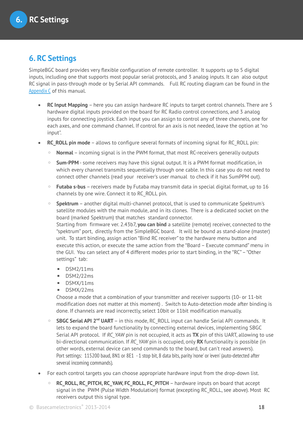## **6. RC Settings**

SimpleBGC board provides very flexible configuration of remote controller. It supports up to 5 digital inputs, including one that supports most popular serial protocols, and 3 analog inputs. It can also output RC signal in pass-through mode or by Serial API commands. Full RC routing diagram can be found in the [Appendix C](#page-40-0) of this manual.

- **RC Input Mapping**  here you can assign hardware RC inputs to target control channels. There are 5 hardware digital inputs provided on the board for RC Radio control connections, and 3 analog inputs for connecting joystick. Each input you can assign to control any of three channels, one for each axes, and one command channel. If control for an axis is not needed, leave the option at "no input".
- **RC\_ROLL pin mode** allows to configure several formats of incoming signal for RC\_ROLL pin:
	- **Normal** incoming signal is in the PWM format, that most RC-receivers generally outputs
	- **Sum-PPM** some receivers may have this signal output. It is a PWM format modification, in which every channel transmits sequentially through one cable. In this case you do not need to connect other channels (read your receiver's user manual to check if it has SumPPM out).
	- **Futaba s-bus** receivers made by Futaba may transmit data in special digital format, up to 16 channels by one wire. Connect it to RC\_ROLL pin.
	- **Spektrum** another digital multi-channel protocol, that is used to communicate Spektrum's satellite modules with the main module, and in its clones. There is a dedicated socket on the board (marked Spektrum) that matches standard connector. Starting from firmware ver. 2.43b7, **you can bind** a satellite (remote) receiver, connected to the "spektrum" port, directly from the SimpleBGC board. It will be bound as stand-alone (master) unit. To start binding, assign action "Bind RC receiver" to the hardware menu button and execute this action, or execute the same action from the "Board – Execute command" menu in the GUI. You can select any of 4 different modes prior to start binding, in the "RC" – "Other settings" tab:
		-
		- DSM2/11ms
		- DSM2/22ms
		- DSMX/11ms
		- DSMX/22ms

Choose a mode that a combination of your transmitter and receiver supports (10- or 11-bit modification does not matter at this moment) . Switch to Auto-detection mode after binding is done. If channels are read incorrectly, select 10bit or 11bit modification manually.

- **SBGC Serial API 2<sup>nd</sup> UART** in this mode, RC\_ROLL input can handle Serial API commands. It lets to expand the board functionality by connecting external devices, implementing SBGC Serial API protocol. If *RC\_YAW* pin is not occupied, it acts as **TX** pin of this UART, allowing to use bi-directional communication. If *RC\_YAW* pin is occupied, only **RX** functionality is possible (in other words, external device can send commands to the board, but can't read answers). Port settings: 115200 baud, 8N1 or 8E1 - 1 stop bit, 8 data bits, parity 'none' or 'even' (auto-detected after several incoming commands).
- For each control targets you can choose appropriate hardware input from the drop-down list.
	- **RC\_ROLL, RC\_PITCH, RC\_YAW, FC\_ROLL, FC\_PITCH** hardware inputs on board that accept signal in the PWM (Pulse Width Modulation) format (excepting RC\_ROLL, see above). Most RC receivers output this signal type.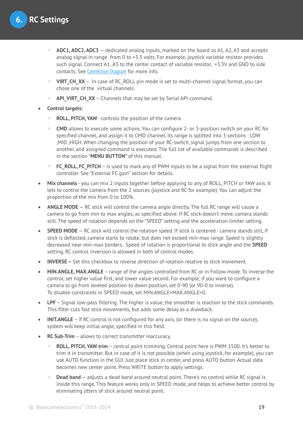- **ADC1, ADC2, ADC3** dedicated analog inputs, marked on the board as A1, A2, A3 and accepts analog signal in range from 0 to +3.3 volts. For example, joystick variable resistor provides such signal. Connect A1..A3 to the center contact of variable resistor, +3.3V and GND to side contacts. See [Connection Diagram](#page-38-0) for more info.
- **VIRT\_CH\_XX** In case of RC\_ROLL pin mode is set to multi-channel signal format, you can chose one of the virtual channels.
- **API\_VIRT\_CH\_XX** Channels that may be set by Serial API command.

**Control targets:**

- **ROLL, PITCH, YAW** controls the position of the camera
- **CMD** allows to execute some actions. You can configure 2- or 3-position switch on your RC for specified channel, and assign it to CMD channel. Its range is splitted into 3 sections : LOW ,MID ,HIGH. When changing the position of your RC-switch, signal jumps from one section to another, and assigned command is executed. The full list of available commands is described in the section "**MENU BUTTON"** of this manual.
- **FC\_ROLL, FC\_PITCH** is used to mark any of PWM inputs to be a signal from the external flight controller. See "External FC gain" section for details.
- **Mix channels** you can mix 2 inputs together before applying to any of ROLL, PITCH or YAW axis. It lets to control the camera from the 2 sources (joystick and RC for example). You can adjust the proportion of the mix from 0 to 100%.
- **ANGLE MODE** RC stick will control the camera angle directly. The full RC range will cause a camera to go from min to max angles, as specified above. If RC stick doesn't move, camera stands still. The speed of rotation depends on the "SPEED" setting and the acceleration limiter setting.
- **SPEED MODE** RC stick will control the rotation speed. If stick is centered camera stands still, if stick is deflected, camera starts to rotate, but does not exceed min-max range. Speed is slightly decreased near min-max borders. Speed of rotation is proportional to stick angle and the **SPEED** setting. RC control inversion is allowed in both of control modes.
- **INVERSE** Set this checkbox to reverse direction of rotation relative to stick movement.
- **MIN.ANGLE, MAX.ANGLE** range of the angles controlled from RC or in Follow mode. To inverse the control, set higher value first, and lower value second. For example, if you want to configure a camera to go from leveled position to down position, set 0-90 (or 90-0 to inverse). To disable constraints in SPEED mode, set MIN.ANGLE=MAX.ANGLE=0.
- **LPF** Signal low-pass filtering. The higher is value, the smoother is reaction to the stick commands. This filter cuts fast stick movements, but adds some delay as a drawback.
- **INIT.ANGLE** if RC control is not configured for any axis, (or there is no signal on the source), system will keep initial angle, specified in this field.
- **RC Sub-Trim** allows to correct transmitter inaccuracy.
	- **ROLL, PITCH, YAW trim** central point trimming. Central point here is PWM 1500. It's better to trim it in transmitter. But in case of it is not possible (when using joystick, for example), you can use AUTO function in the GUI. Just place stick in center, and press AUTO button. Actual data becomes new center point. Press WRITE button to apply settings.
	- **Dead band** adjusts a dead band around neutral point. There's no control while RC signal is inside this range. This feature works only in SPEED mode, and helps to achieve better control by eliminating jitters of stick around neutral point.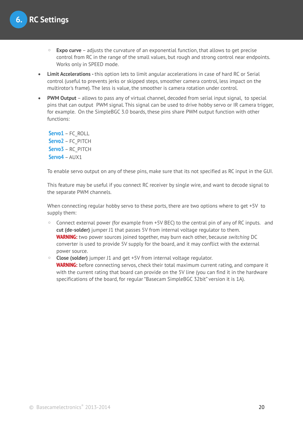- **Expo curve** adjusts the curvature of an exponential function, that allows to get precise control from RC in the range of the small values, but rough and strong control near endpoints. Works only in SPEED mode.
- **Limit Accelerations** this option lets to limit angular accelerations in case of hard RC or Serial control (useful to prevents jerks or skipped steps, smoother camera control, less impact on the multirotor's frame). The less is value, the smoother is camera rotation under control.
- **PWM Output** allows to pass any of virtual channel, decoded from serial input signal, to special pins that can output PWM signal. This signal can be used to drive hobby servo or IR camera trigger, for example. On the SimpleBGC 3.0 boards, these pins share PWM output function with other functions:

**Servo1** – FC\_ROLL **Servo2** – FC\_PITCH **Servo3** – RC\_PITCH **Servo4** – AUX1

To enable servo output on any of these pins, make sure that its not specified as RC input in the GUI.

This feature may be useful if you connect RC receiver by single wire, and want to decode signal to the separate PWM channels.

When connecting regular hobby servo to these ports, there are two options where to get +5V to supply them:

- Connect external power (for example from +5V BEC) to the central pin of any of RC inputs. and **cut (de-solder)** jumper J1 that passes 5V from internal voltage regulator to them. **WARNING:** two power sources joined together, may burn each other, because *switching* DC converter is used to provide 5V supply for the board, and it may conflict with the external power source.
- **Close (solder)** jumper J1 and get +5V from internal voltage regulator. **WARNING:** before connecting servos, check their total maximum current rating, and compare it with the current rating that board can provide on the 5V line (you can find it in the hardware specifications of the board, for regular "Basecam SimpleBGC 32bit" version it is 1A).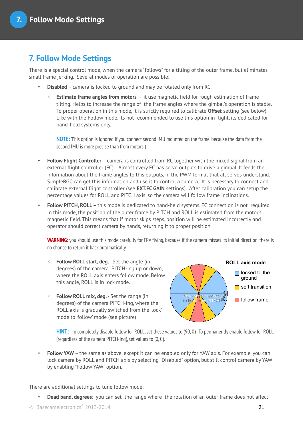## **7. Follow Mode Settings**

There is a special control mode, when the camera "follows" for a tilting of the outer frame, but eliminates small frame jerking. Several modes of operation are possible:

- **Disabled** camera is locked to ground and may be rotated only from RC.
	- **Estimate frame angles from motors** it use magnetic field for rough estimation of frame tilting. Helps to increase the range of the frame angles where the gimbal's operation is stable. To proper operation in this mode, it is strictly required to calibrate **Offset** setting (see below). Like with the Follow mode, its not recommended to use this option in flight, its dedicated for hand-held systems only.

**NOTE:** This option is ignored if you connect second IMU mounted on the frame, because the data from the second IMU is more precise than from motors.)

- **Follow Flight Controller** camera is controlled from RC together with the mixed signal from an external flight controller (FC). Almost every FC has servo outputs to drive a gimbal. It feeds the information about the frame angles to this outputs, in the PWM format that all servos understand. SimpleBGC can get this information and use it to control a camera. It is necessary to connect and calibrate external flight controller (see **EXT.FC GAIN** settings). After calibration you can setup the percentage values for ROLL and PITCH axis, so the camera will follow frame inclinations.
- **Follow PITCH, ROLL** this mode is dedicated to hand-held systems. FC connection is not required. In this mode, the position of the outer frame by PITCH and ROLL is estimated from the motor's magnetic field. This means that if motor skips steps, position will be estimated incorrectly and operator should correct camera by hands, returning it to proper position.

**WARNING:** you should use this mode carefully for FPV flying, because if the camera misses its initial direction, there is no chance to return it back automatically.

- **Follow ROLL start, deg.** Set the angle (in degrees) of the camera PITCH-ing up or down, where the ROLL axis enters follow mode. Below this angle, ROLL is in lock mode.
- **Follow ROLL mix, deg.** Set the range (in degrees) of the camera PITCH-ing, where the ROLL axis is gradually switched from the 'lock' mode to 'follow' mode (see picture)



**HINT:** To completely disable follow for ROLL, set these values to (90, 0). To permanently enable follow for ROLL (regardless of the camera PITCH-ing), set values to (0, 0).

• **Follow YAW** – the same as above, except it can be enabled only for YAW axis. For example, you can lock camera by ROLL and PITCH axis by selecting "Disabled" option, but still control camera by YAW by enabling "Follow YAW" option.

There are additional settings to tune follow mode:

• **Dead band, degrees**: you can set the range where the rotation of an outer frame does not affect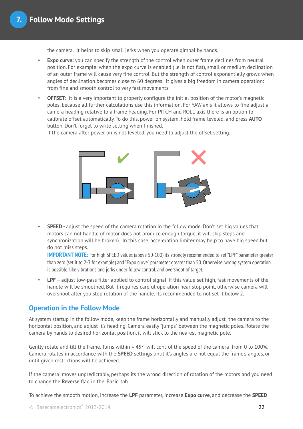the camera. It helps to skip small jerks when you operate gimbal by hands.

- **Expo curve:** you can specify the strength of the control when outer frame declines from neutral position. For example: when the expo curve is enabled (i.e. is not flat), small or medium declination of an outer frame will cause very fine control. But the strength of control exponentially grows when angles of declination becomes close to 60 degrees. It gives a big freedom in camera operation: from fine and smooth control to very fast movements.
- **OFFSET**: it is a very important to properly configure the initial position of the motor's magnetic poles, because all further calculations use this information. For YAW axis it allows to fine adjust a camera heading relative to a frame heading. For PITCH and ROLL axis there is an option to calibrate offset automatically. To do this, power on system, hold frame leveled, and press **AUTO** button. Don't forget to write setting when finished.

If the camera after power on is not leveled, you need to adjust the offset setting.



• **SPEED -** adjust the speed of the camera rotation in the follow mode. Don't set big values that motors can not handle (if motor does not produce enough torque, it will skip steps and synchronization will be broken). In this case, acceleration limiter may help to have big speed but do not miss steps.

**IMPORTANT NOTE:** For high SPEED values (above 50-100) its strongly recommended to set "LPF" parameter greater than zero (set it to 2-3 for example) and "Expo curve" parameter greater than 50. Otherwise, wrong system operation is possible, like vibrations and jerks under follow control, and overshoot of target.

**LPF** – adjust low-pass filter applied to control signal. If this value set high, fast movements of the handle will be smoothed. But it requires careful operation near stop point, otherwise camera will overshoot after you stop rotation of the handle. Its recommended to not set it below 2.

### **Operation in the Follow Mode**

At system startup in the follow mode, keep the frame horizontally and manually adjust the camera to the horizontal position, and adjust it's heading. Camera easily "jumps" between the magnetic poles. Rotate the camera by hands to desired horizontal position, it will stick to the nearest magnetic pole.

Gently rotate and tilt the frame. Turns within  $\pm 45^{\circ}$  will control the speed of the camera from 0 to 100%. Camera rotates in accordance with the **SPEED** settings until it's angles are not equal the frame's angles, or until given restrictions will be achieved.

If the camera moves unpredictably, perhaps its the wrong direction of rotation of the motors and you need to change the **Reverse** flag in the 'Basic' tab .

To achieve the smooth motion, increase the **LPF** parameter, increase **Expo curve**, and decrease the **SPEED**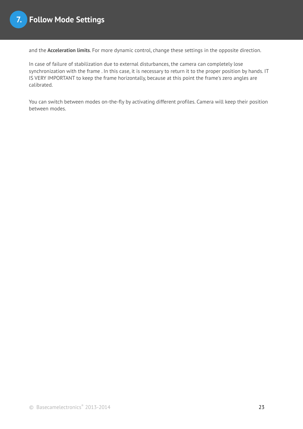and the **Acceleration limits**. For more dynamic control, change these settings in the opposite direction.

In case of failure of stabilization due to external disturbances, the camera can completely lose synchronization with the frame . In this case, it is necessary to return it to the proper position by hands. IT IS VERY IMPORTANT to keep the frame horizontally, because at this point the frame's zero angles are calibrated.

You can switch between modes on-the-fly by activating different profiles. Camera will keep their position between modes.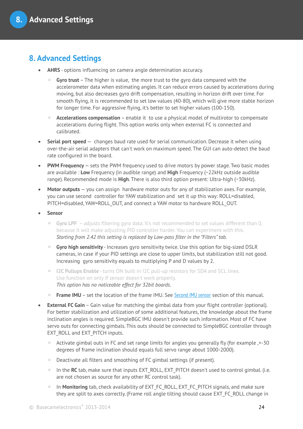## <span id="page-23-0"></span>**8. Advanced Settings**

- **AHRS** options influencing on camera angle determination accuracy.
	- **Gyro trust** The higher is value, the more trust to the gyro data compared with the accelerometer data when estimating angles. It can reduce errors caused by accelerations during moving, but also decreases gyro drift compensation, resulting in horizon drift over time. For smooth flying, it is recommended to set low values (40-80), which will give more stable horizon for longer time. For aggressive flying, it's better to set higher values (100-150).
	- **Accelerations compensation** enable it to use a physical model of multirotor to compensate accelerations during flight. This option works only when external FC is connected and calibrated.
- **Serial port speed** changes baud rate used for serial communication. Decrease it when using over-the-air serial adapters that can't work on maximum speed. The GUI can auto-detect the baud rate configured in the board.
- **PWM Frequency** sets the PWM frequency used to drive motors by power stage. Two basic modes are available : **Low** Frequency (in audible range) and **High** Frequency (~22kHz outside audible range). Recommended mode is **High**. There is also third option present: Ultra-high (~30kHz).
- **Motor outputs** you can assign hardware motor outs for any of stabilization axes. For example, you can use second controller for YAW stabilization and set it up this way: ROLL=disabled, PITCH=disabled, YAW=ROLL\_OUT, and connect a YAW motor to hardware ROLL\_OUT.
- **Sensor**
	- **Gyro LPF**  adjusts filtering gyro data. It's not recommended to set values different than 0, because it will make adjusting PID controller harder. You can experiment with this. *Starting from 2.42 this setting is replaced by Low-pass filter in the "Filters" tab.*
	- **Gyro high sensitivity** Increases gyro sensitivity twice. Use this option for big-sized DSLR cameras, in case if your PID settings are close to upper limits, but stabilization still not good. Increasing gyro sensitivity equals to multiplying P and D values by 2.
	- **I2C Pullups Enable** turns ON built in I2C pull-up resistors for SDA and SCL lines. Use function on only if sensor doesn't work properly. *This option has no noticeable effect for 32bit boards.*
	- **Frame IMU** set the location of the frame IMU. See [Second IMU sensor](#page-12-0) section of this manual.
- **External FC Gain** Gain value for matching the gimbal data from your flight controller (optional). For better stabilization and utilization of some additional features, the knowledge about the frame inclination angles is required. SimpleBGC IMU doesn't provide such information. Most of FC have servo outs for connecting gimbals. This outs should be connected to SimpleBGC controller through EXT\_ROLL and EXT\_PITCH inputs.
	- Activate gimbal outs in FC and set range limits for angles you generally fly (for example ,+-30 degrees of frame inclination should equals full servo range about 1000-2000).
	- Deactivate all filters and smoothing of FC gimbal settings (if present).
	- In the **RC** tab, make sure that inputs EXT\_ROLL, EXT\_PITCH doesn't used to control gimbal. (i.e. are not chosen as source for any other RC control task).
	- In **Monitoring** tab, check availability of EXT\_FC\_ROLL, EXT\_FC\_PITCH signals, and make sure they are split to axes correctly. (Frame roll angle tilting should cause EXT\_FC\_ROLL change in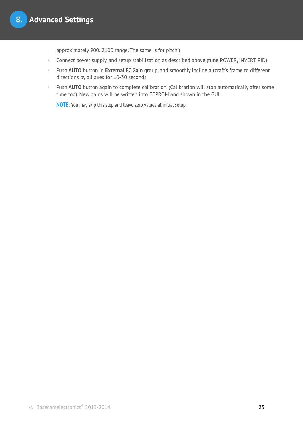approximately 900..2100 range. The same is for pitch.)

- Connect power supply, and setup stabilization as described above (tune POWER, INVERT, PID)
- Push **AUTO** button in **External FC Gain** group, and smoothly incline aircraft's frame to different directions by all axes for 10-30 seconds.
- Push **AUTO** button again to complete calibration. (Calibration will stop automatically after some time too). New gains will be written into EEPROM and shown in the GUI.

**NOTE:** You may skip this step and leave zero values at initial setup.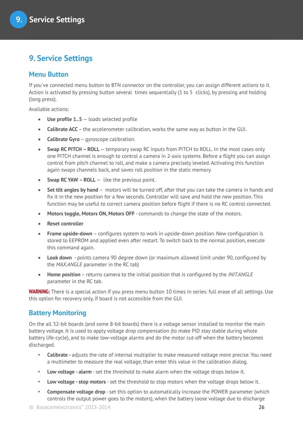## **9. Service Settings**

## <span id="page-25-0"></span>**Menu Button**

If you've connected menu button to BTN connector on the controller, you can assign different actions to it. Action is activated by pressing button several times sequentially (1 to 5 clicks), by pressing and holding (long press).

Available actions:

- **Use profile 1..5** loads selected profile
- **Calibrate ACC** the accelerometer calibration, works the same way as button in the GUI.
- **Calibrate Gyro** gyroscope calibration.
- **Swap RC PITCH ROLL** temporary swap RC inputs from PITCH to ROLL. In the most cases only one PITCH channel is enough to control a camera in 2-axis systems. Before a flight you can assign control from pitch channel to roll, and make a camera precisely leveled. Activating this function again swaps channels back, and saves roll position in the static memory.
- **Swap RC YAW ROLL** like the previous point.
- **Set tilt angles by hand** motors will be turned off, after that you can take the camera in hands and fix it in the new position for a few seconds. Controller will save and hold the new position. This function may be useful to correct camera position before flight if there is no RC control connected.
- **Motors toggle, Motors ON, Motors OFF** commands to change the state of the motors.
- **Reset controller**
- **Frame upside-down**  configures system to work in upside-down position. New configuration is stored to EEPROM and applied even after restart. To switch back to the normal position, execute this command again.
- **Look down** points camera 90 degree down (or maximum allowed limit under 90, configured by the *MAX.ANGLE* parameter in the RC tab)
- **Home position** returns camera to the initial position that is configured by the *INIT.ANGLE* parameter in the RC tab.

**WARNING:** There is a special action if you press menu button 10 times in series: full erase of all settings. Use this option for recovery only, if board is not accessible from the GUI.

### **Battery Monitoring**

On the all 32-bit boards (and some 8-bit boards) there is a voltage sensor installed to monitor the main battery voltage. It is used to apply voltage drop compensation (to make PID stay stable during whole battery life-cycle), and to make low-voltage alarms and do the motor cut-off when the battery becomes discharged.

- **Calibrate -** adjusts the rate of internal multiplier to make measured voltage more precise. You need a multimeter to measure the real voltage, than enter this value in the calibration dialog.
- **Low voltage alarm** set the threshold to make alarm when the voltage drops below it.
- **Low voltage stop motors**  set the threshold to stop motors when the voltage drops below it.
- **Compensate voltage drop** set this option to automatically increase the POWER parameter (which controls the output power goes to the motors), when the battery loose voltage due to discharge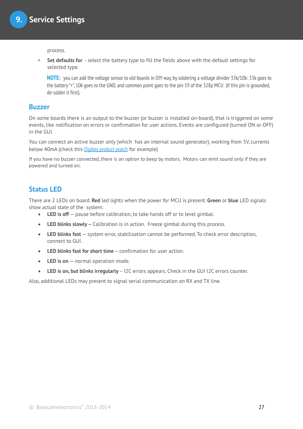process.

• **Set defaults for** - select the battery type to fill the fields above with the default settings for selected type.

**NOTE:** you can add the voltage sensor to old boards in DIY way, by soldering a voltage divider 33k/10k: 33k goes to the battery "+", 10k goes to the GND, and common point goes to the pin 19 of the 328p MCU (if this pin is grounded, de-solder it first).

#### **Buzzer**

On some boards there is an output to the buzzer (or buzzer is installed on-board), that is triggered on some events, like notification on errors or confirmation for user actions. Events are configured (turned ON or OFF) in the GUI.

You can connect an active buzzer only (which has an internal sound generator), working from 5V, currents below 40mA (check this [Digikey product search](http://www.digikey.com/product-search/en?pv14=930&pv14=124&pv14=123&FV=fff4000b,fff80047,38003f,38007b,38007c,38007e,3803a2,7040013,7040015,704001b,7040024,704002a,7040037,704003b,704003e,7040045,704005a,704005d,7040068,704006a,704007e,7040080,7040088,704008a,704008b,70400f3,70404b5,7680028,15d80006&mnonly=0&newproducts=0&ColumnSort=0&page=1&quantity=0&ptm=0&fid=0&pageSize=25) for example)

If you have no buzzer connected, there is an option to beep by motors. Motors can emit sound only if they are powered and turned on.

### **Status LED**

There are 2 LEDs on board. **Red** led lights when the power for MCU is present. **Green** or **blue** LED signals show actual state of the system:

- LED is off pause before calibration, to take hands off or to level gimbal.
- **LED blinks slowly –** Calibration is in action. Freeze gimbal during this process.
- **LED blinks fast**  system error, stabilization cannot be performed. To check error description, connect to GUI.
- **LED blinks fast for short time** confirmation for user action
- **LED is on** normal operation mode.
- **LED is on, but blinks irregularly** I2C errors appears. Check in the GUI I2C errors counter.

Also, additional LEDs may present to signal serial communication on RX and TX line.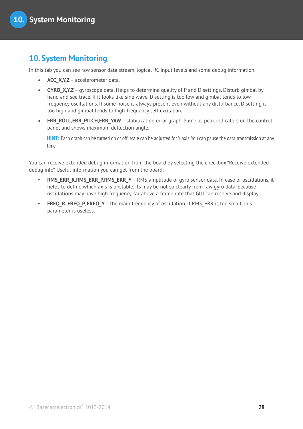## **10. System Monitoring**

In this tab you can see raw sensor data stream, logical RC input levels and some debug information.

- **ACC\_X,Y,Z** accelerometer data.
- **GYRO X, Y, Z** gyroscope data. Helps to determine quality of P and D settings. Disturb gimbal by hand and see trace. If it looks like sine wave, D setting is too low and gimbal tends to lowfrequency oscillations. If some noise is always present even without any disturbance, D setting is too high and gimbal tends to high-frequency self-excitation.
- **ERR\_ROLL,ERR\_PITCH,ERR\_YAW** stabilization error graph. Same as peak indicators on the control panel and shows maximum deflection angle.

**HINT:** Each graph can be turned on or off, scale can be adjusted for Y axis. You can pause the data transmission at any time.

You can receive extended debug information from the board by selecting the checkbox "Receive extended debug info". Useful information you can get from the board:

- **RMS\_ERR\_R,RMS\_ERR\_P,RMS\_ERR\_Y** RMS amplitude of gyro sensor data. In case of oscillations, it helps to define which axis is unstable. Its may be not so clearly from raw gyro data, because oscillations may have high frequency, far above a frame rate that GUI can receive and display.
- **FREQ R, FREQ P, FREQ Y** the main frequency of oscillation. If RMS ERR is too small, this parameter is useless.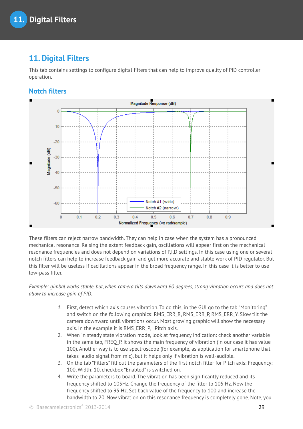## **11. Digital Filters**

This tab contains settings to configure digital filters that can help to improve quality of PID controller operation.

## **Notch filters**



These filters can reject narrow bandwidth. They can help in case when the system has a pronounced mechanical resonance. Raising the extent feedback gain, oscillations will appear first on the mechanical resonance frequencies and does not depend on variations of P,I,D settings. In this case using one or several notch filters can help to increase feedback gain and get more accurate and stable work of PID regulator. But this filter will be useless if oscillations appear in the broad frequency range. In this case it is better to use low-pass filter.

*Example: gimbal works stable, but, when camera tilts downward 60 degrees, strong vibration occurs and does not allow to increase gain of PID.*

- *1.* First, detect which axis causes vibration. To do this, in the GUI go to the tab "Monitoring" and switch on the following graphics: RMS\_ERR\_R, RMS\_ERR\_P, RMS\_ERR\_Y. Slow tilt the camera downward until vibrations occur. Most growing graphic will show the necessary axis. In the example it is RMS\_ERR\_P, Pitch axis.
- 2. When in steady state vibration mode, look at frequency indication: check another variable in the same tab, FREQ P. It shows the main frequency of vibration (in our case it has value 100). Another way is to use spectroscope (for example, as application for smartphone that takes audio signal from mic), but it helps only if vibration is well-audible.
- 3. On the tab "Filters" fill out the parameters of the first notch filter for Pitch axis: Frequency: 100, Width: 10, checkbox "Enabled" is switched on.
- 4. Write the parameters to board. The vibration has been significantly reduced and its frequency shifted to 105Hz. Change the frequency of the filter to 105 Hz. Now the frequency shifted to 95 Hz. Set back value of the frequency to 100 and increase the bandwidth to 20. Now vibration on this resonance frequency is completely gone. Note, you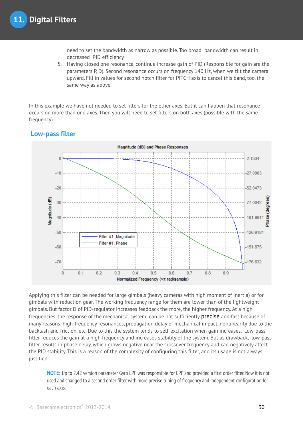need to set the bandwidth as narrow as possible. Too broad bandwidth can result in decreased PID efficiency.

5. Having closed one resonance, continue increase gain of PID (Responsible for gain are the parameters P, D). Second resonance occurs on frequency 140 Hz, when we tilt the camera upward. Fill in values for second notch filter for PITCH axis to cancel this band, too, the same way as above.

In this example we have not needed to set filters for the other axes. But it can happen that resonance occurs on more than one axes. Then you will need to set filters on both axes (possible with the same frequency)

## **Low-pass filter**



Applying this filter can be needed for large gimbals (heavy cameras with high moment of inertia) or for gimbals with reduction gear. The working frequency range for them are lower than of the lightweight gimbals. But factor D of PID-regulator increases feedback the more, the higher frequency. At a high frequencies, the response of the mechanical system can be not sufficiently precise and fast because of many reasons: high-frequency resonances, propagation delay of mechanical impact, nonlinearity due to the backlash and friction, etc. Due to this the system tends to self-excitation when gain increases. Low-pass filter reduces the gain at a high frequency and increases stability of the system. But as drawback, low-pass filter results in phase delay, which grows negative near the crossover frequency and can negatively affect the PID stability. This is a reason of the complexity of configuring this filter, and its usage is not always justified.

**NOTE:** Up to 2.42 version parameter Gyro LPF was responsible for LPF and provided a first order filter. Now it is not used and changed to a second order filter with more precise tuning of frequency and independent configuration for each axis.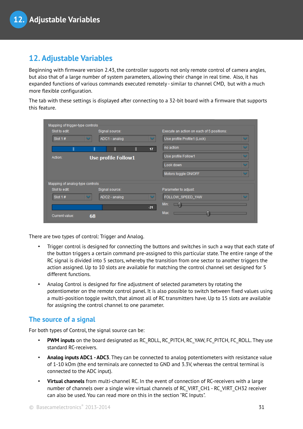## <span id="page-30-0"></span>**12. Adjustable Variables**

Beginning with firmware version 2.43, the controller supports not only remote control of camera angles, but also that of a large number of system parameters, allowing their change in real time. Also, it has expanded functions of various commands executed remotely - similar to channel CMD, but with a much more flexible configuration.

The tab with these settings is displayed after connecting to a 32-bit board with a firmware that supports this feature.

| Slot to edit:                   | Signal source:             |                 | Execute an action on each of 5 positions: |              |
|---------------------------------|----------------------------|-----------------|-------------------------------------------|--------------|
| Slot $1#$                       | ADC1 - analog              | v               | Use profile Profile1 (Lock)               | $\checkmark$ |
|                                 |                            | 17 <sub>1</sub> | no action                                 | $\checkmark$ |
| Action:                         | <b>Use profile Follow1</b> |                 | Use profile Follow1                       | $\checkmark$ |
|                                 |                            |                 | Look down                                 | $\checkmark$ |
|                                 |                            |                 | Motors toggle ON/OFF                      | $\checkmark$ |
| Mapping of analog-type controls |                            |                 |                                           |              |
| Slot to edit:                   | Signal source:             |                 | Parameter to adjust:                      |              |
| Slot $1#$                       | ADC2 - analog              | $\checkmark$    | FOLLOW SPEED YAW                          | $\checkmark$ |
|                                 |                            | $-21$           | Min:                                      |              |
| Current value:                  | 68                         |                 | Max:                                      |              |

There are two types of control: Trigger and Analog.

- Trigger control is designed for connecting the buttons and switches in such a way that each state of the button triggers a certain command pre-assigned to this particular state. The entire range of the RC signal is divided into 5 sectors, whereby the transition from one sector to another triggers the action assigned. Up to 10 slots are available for matching the control channel set designed for 5 different functions.
- Analog Control is designed for fine adjustment of selected parameters by rotating the potentiometer on the remote control panel. It is also possible to switch between fixed values using a multi-position toggle switch, that almost all of RC transmitters have. Up to 15 slots are available for assigning the control channel to one parameter.

### **The source of a signal**

For both types of Control, the signal source can be:

- **PWM inputs** on the board designated as RC\_ROLL, RC\_PITCH, RC\_YAW, FC\_PITCH, FC\_ROLL. They use standard RC-receivers.
- **Analog inputs ADC1 ADC3**. They can be connected to analog potentiometers with resistance value of 1-10 kOm (the end terminals are connected to GND and 3.3V, whereas the central terminal is connected to the ADC input).
- **Virtual channels** from multi-channel RC. In the event of connection of RC-receivers with a large number of channels over a single wire virtual channels of RC\_VIRT\_CH1 - RC\_VIRT\_CH32 receiver can also be used. You can read more on this in the section "RC Inputs".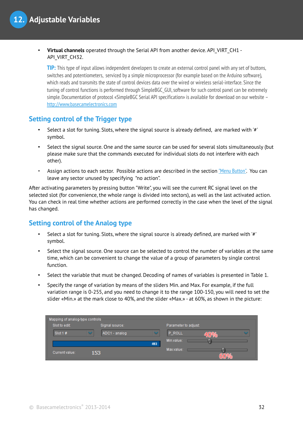• **Virtual channels** operated through the Serial API from another device. API\_VIRT\_CH1 - API\_VIRT\_CH32.

**TIP:** This type of input allows independent developers to create an external control panel with any set of buttons, switches and potentiometers, serviced by a simple microprocessor (for example based on the Arduino software), which reads and transmits the state of control devices data over the wired or wireless serial-interface. Since the tuning of control functions is performed through SimpleBGC\_GUI, software for such control panel can be extremely simple. Documentation of protocol «SimpleBGC Serial API specification» is available for download on our website –  [http://www.basecamelectronics.com](http://www.basecamelectronics.com/)

#### **Setting control of the Trigger type**

- Select a slot for tuning. Slots, where the signal source is already defined, are marked with '#' symbol.
- Select the signal source. One and the same source can be used for several slots simultaneously (but please make sure that the commands executed for individual slots do not interfere with each other).
- Assign actions to each sector. Possible actions are described in the section ["Menu Button"](#page-25-0). You can leave any sector unused by specifying "no action".

After activating parameters by pressing button "Write", you will see the current RC signal level on the selected slot (for convenience, the whole range is divided into sectors), as well as the last activated action. You can check in real time whether actions are performed correctly in the case when the level of the signal has changed.

#### **Setting control of the Analog type**

- Select a slot for tuning. Slots, where the signal source is already defined, are marked with '#' symbol.
- Select the signal source. One source can be selected to control the number of variables at the same time, which can be convenient to change the value of a group of parameters by single control function.
- Select the variable that must be changed. Decoding of names of variables is presented in Table 1.
- Specify the range of variation by means of the sliders Min. and Max. For example, if the full variation range is 0-255, and you need to change it to the range 100-150, you will need to set the slider «Min.» at the mark close to 40%, and the slider «Max.» - at 60%, as shown in the picture:

| Mapping of analog-type controls |                |                        |  |
|---------------------------------|----------------|------------------------|--|
| Slot to edit:                   | Signal source: | Parameter to adjust:   |  |
| Slot1#<br>$\checkmark$          | ADC1 - analog  | $\checkmark$<br>P_ROLL |  |
|                                 |                | Min.value:<br>493      |  |
| Current value:                  | 153            | Max.value:             |  |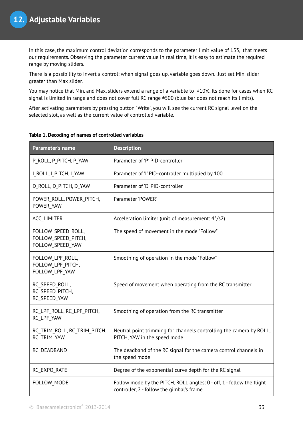In this case, the maximum control deviation corresponds to the parameter limit value of 153, that meets our requirements. Observing the parameter current value in real time, it is easy to estimate the required range by moving sliders.

There is a possibility to invert a control: when signal goes up, variable goes down. Just set Min. slider greater than Max slider.

You may notice that Min. and Max. sliders extend a range of a variable to  $\pm 10\%$ . Its done for cases when RC signal is limited in range and does not cover full RC range ±500 (blue bar does not reach its limits).

After activating parameters by pressing button "Write", you will see the current RC signal level on the selected slot, as well as the current value of controlled variable.

| Parameter's name                                              | <b>Description</b>                                                                                                 |
|---------------------------------------------------------------|--------------------------------------------------------------------------------------------------------------------|
| P_ROLL, P_PITCH, P_YAW                                        | Parameter of 'P' PID-controller                                                                                    |
| I ROLL, I PITCH, I YAW                                        | Parameter of 'I' PID-controller multiplied by 100                                                                  |
| D ROLL, D PITCH, D YAW                                        | Parameter of 'D' PID-controller                                                                                    |
| POWER ROLL, POWER PITCH,<br>POWER YAW                         | Parameter 'POWER'                                                                                                  |
| <b>ACC LIMITER</b>                                            | Acceleration limiter (unit of measurement: 4°/s2)                                                                  |
| FOLLOW_SPEED_ROLL,<br>FOLLOW SPEED PITCH,<br>FOLLOW SPEED YAW | The speed of movement in the mode "Follow"                                                                         |
| FOLLOW LPF ROLL,<br>FOLLOW LPF PITCH,<br>FOLLOW LPF YAW       | Smoothing of operation in the mode "Follow"                                                                        |
| RC SPEED ROLL,<br>RC SPEED PITCH,<br>RC SPEED YAW             | Speed of movement when operating from the RC transmitter                                                           |
| RC LPF ROLL, RC LPF PITCH,<br>RC_LPF_YAW                      | Smoothing of operation from the RC transmitter                                                                     |
| RC_TRIM_ROLL, RC_TRIM_PITCH,<br>RC TRIM YAW                   | Neutral point trimming for channels controlling the camera by ROLL,<br>PITCH, YAW in the speed mode                |
| RC DEADBAND                                                   | The deadband of the RC signal for the camera control channels in<br>the speed mode                                 |
| RC EXPO RATE                                                  | Degree of the exponential curve depth for the RC signal                                                            |
| FOLLOW_MODE                                                   | Follow mode by the PITCH, ROLL angles: 0 - off, 1 - follow the flight<br>controller, 2 - follow the gimbal's frame |

#### **Table 1. Decoding of names of controlled variables**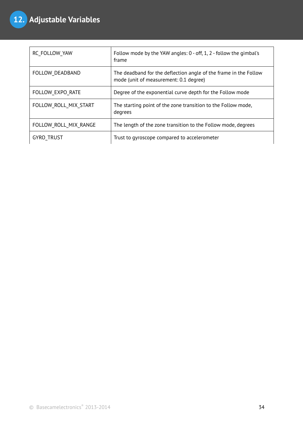| RC FOLLOW YAW         | Follow mode by the YAW angles: 0 - off, 1, 2 - follow the gimbal's<br>frame                                |
|-----------------------|------------------------------------------------------------------------------------------------------------|
| FOLLOW DEADBAND       | The deadband for the deflection angle of the frame in the Follow<br>mode (unit of measurement: 0.1 degree) |
| FOLLOW EXPO RATE      | Degree of the exponential curve depth for the Follow mode                                                  |
| FOLLOW ROLL MIX START | The starting point of the zone transition to the Follow mode,<br>degrees                                   |
| FOLLOW ROLL MIX RANGE | The length of the zone transition to the Follow mode, degrees                                              |
| <b>GYRO TRUST</b>     | Trust to gyroscope compared to accelerometer                                                               |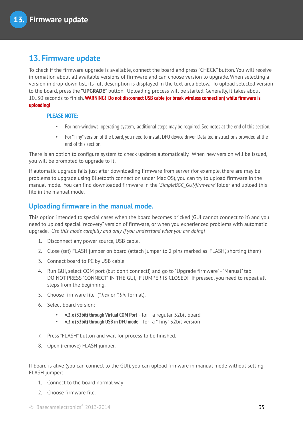## **13. Firmware update**

To check if the firmware upgrade is available, connect the board and press "CHECK" button. You will receive information about all available versions of firmware and can choose version to upgrade. When selecting a version in drop-down list, its full description is displayed in the text area below. To upload selected version to the board, press the **"UPGRADE"** button. Uploading process will be started. Generally, it takes about 10..30 seconds to finish. **WARNING! Do not disconnect USB cable (or break wireless connection) while firmware is uploading!**

#### **PLEASE NOTE:**

- For non-windows operating system, additional steps may be required. See notes at the end of this section.
- For "Tiny" version of the board, you need to install DFU device driver. Detailed instructions provided at the end of this section.

There is an option to configure system to check updates automatically. When new version will be issued, you will be prompted to upgrade to it.

If automatic upgrade fails just after downloading firmware from server (for example, there are may be problems to upgrade using Bluetooth connection under Mac OS), you can try to upload firmware in the manual mode. You can find downloaded firmware in the '*SimpleBGC\_GUI/firmware*' folder and upload this file in the manual mode.

## **Uploading firmware in the manual mode.**

This option intended to special cases when the board becomes bricked (GUI cannot connect to it) and you need to upload special "recovery" version of firmware, or when you experienced problems with automatic upgrade. *Use this mode carefully and only if you understand what you are doing!*

- 1. Disconnect any power source, USB cable.
- 2. Close (set) FLASH jumper on board (attach jumper to 2 pins marked as 'FLASH', shorting them)
- 3. Connect board to PC by USB cable
- 4. Run GUI, select COM port (but don't connect!) and go to "Upgrade firmware" "Manual" tab DO NOT PRESS "CONNECT" IN THE GUI, IF JUMPER IS CLOSED! If pressed, you need to repeat all steps from the beginning.
- 5. Choose firmware file (*\*.hex* or *\*.bin* format).
- 6. Select board version:
	- **v.3.x (32bit) through Virtual COM Port**  for a regular 32bit board
	- **v.3.x (32bit) through USB in DFU mode**  for a "Tiny" 32bit version
- 7. Press "FLASH" button and wait for process to be finished.
- 8. Open (remove) FLASH jumper.

If board is alive (you can connect to the GUI), you can upload firmware in manual mode without setting FLASH jumper:

- 1. Connect to the board normal way
- 2. Choose firmware file.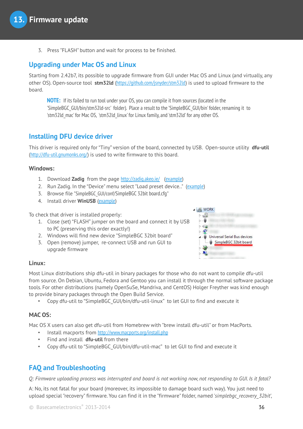3. Press "FLASH" button and wait for process to be finished.

## **Upgrading under Mac OS and Linux**

Starting from 2.42b7, its possible to upgrade firmware from GUI under Mac OS and Linux (and virtually, any other OS). Open-source tool **stm32ld** (<https://github.com/jsnyder/stm32ld>) is used to upload firmware to the board.

**NOTE:** If its failed to run tool under your OS, you can compile it from sources (located in the 'SimpleBGC\_GUI/bin/stm32ld-src' folder). Place a result to the 'SimpleBGC\_GUI/bin' folder, renaming it to 'stm32ld\_mac' for Mac OS, 'stm32ld\_linux' for Linux family, and 'stm32ld' for any other OS.

### **Installing DFU device driver**

This driver is required only for "Tiny" version of the board, connected by USB. Open-source utility **dfu-util** (<http://dfu-util.gnumonks.org/>) is used to write firmware to this board.

#### **Windows:**

- 1. Download **Zadig** from the page <http://zadig.akeo.ie/> ([example](http://ybex.com/d/p9nuuq68m3adcqi787y615aii2fsm3qa1pzptkn7.html))
- 2. Run Zadig. In the "Device" menu select "Load preset device.." ([example](http://ybex.com/d/mz2g7iuzcqyc5x2y1m2mzzyhqliaxt09kqq8hebj.html))
- 3. Browse file "SimpleBGC\_GUI/conf/SimpleBGC 32bit board.cfg"
- 4. Install driver **WinUSB** ([example](http://ybex.com/d/ikw0nmg2kcp9edpnmlcebfz60v5sn2cnx3n2qmlt.html))

To check that driver is installed properly:

- 1. Close (set) "FLASH" jumper on the board and connect it by USB to PC (preserving this order exactly!)
- 2. Windows will find new device "SimpleBGC 32bit board"
- 3. Open (remove) jumper, re-connect USB and run GUI to upgrade firmware



#### **Linux:**

Most Linux distributions ship dfu-util in binary packages for those who do not want to compile dfu-util from source. On Debian, Ubuntu, Fedora and Gentoo you can install it through the normal software package tools. For other distributions (namely OpenSuSe, Mandriva, and CentOS) Holger Freyther was kind enough to provide binary packages through the Open Build Service.

• Copy dfu-util to "SimpleBGC\_GUI/bin/dfu-util-linux" to let GUI to find and execute it

#### **MAC OS:**

Mac OS X users can also get dfu-util from Homebrew with "brew install dfu-util" or from MacPorts.

- Install macports from <http://www.macports.org/install.php>
- Find and install **dfu-util** from there
- Copy dfu-util to "SimpleBGC\_GUI/bin/dfu-util-mac" to let GUI to find and execute it

## **FAQ and Troubleshooting**

*Q: Firmware uploading process was interrupted and board is not working now, not responding to GUI. Is it fatal?* 

A: No, its not fatal for your board (moreover, its impossible to damage board such way). You just need to upload special "recovery" firmware. You can find it in the "firmware" folder, named '*simplebgc\_recovery\_32bit*',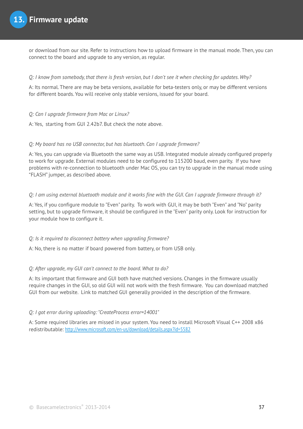or download from our site. Refer to instructions how to upload firmware in the manual mode. Then, you can connect to the board and upgrade to any version, as regular.

#### *Q: I know from somebody, that there is fresh version, but I don't see it when checking for updates. Why?*

A: Its normal. There are may be beta versions, available for beta-testers only, or may be different versions for different boards. You will receive only stable versions, issued for your board.

#### *Q: Can I upgrade firmware from Mac or Linux?*

A: Yes, starting from GUI 2.42b7. But check the note above.

#### *Q: My board has no USB connector, but has bluetooth. Can I upgrade firmware?*

A: Yes, you can upgrade via Bluetooth the same way as USB. Integrated module already configured properly to work for upgrade. External modules need to be configured to 115200 baud, even parity. If you have problems with re-connection to bluetooth under Mac OS, you can try to upgrade in the manual mode using "FLASH" jumper, as described above.

#### *Q: I am using external bluetooth module and it works fine with the GUI. Can I upgrade firmware through it?*

A: Yes, if you configure module to "Even" parity. To work with GUI, it may be both "Even" and "No" parity setting, but to upgrade firmware, it should be configured in the "Even" parity only. Look for instruction for your module how to configure it.

#### *Q: Is it required to disconnect battery when upgrading firmware?*

A: No, there is no matter if board powered from battery, or from USB only.

#### *Q: After upgrade, my GUI can't connect to the board. What to do?*

A: Its important that firmware and GUI both have matched versions. Changes in the firmware usually require changes in the GUI, so old GUI will not work with the fresh firmware. You can download matched GUI from our website. Link to matched GUI generally provided in the description of the firmware.

#### *Q: I got error during uploading: "CreateProcess error=14001"*

A: Some required libraries are missed in your system. You need to install Microsoft Visual C++ 2008 x86 redistributable: <http://www.microsoft.com/en-us/download/details.aspx?id=5582>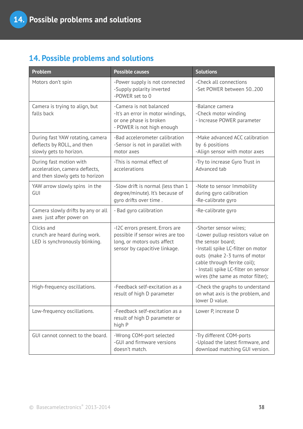## **14. Possible problems and solutions**

| Problem                                                                                      | <b>Possible causes</b>                                                                                                              | <b>Solutions</b>                                                                                                                                                                                                                                                  |
|----------------------------------------------------------------------------------------------|-------------------------------------------------------------------------------------------------------------------------------------|-------------------------------------------------------------------------------------------------------------------------------------------------------------------------------------------------------------------------------------------------------------------|
| Motors don't spin                                                                            | -Power supply is not connected<br>-Supply polarity inverted<br>-POWER set to 0                                                      | -Check all connections<br>-Set POWER between 50200                                                                                                                                                                                                                |
| Camera is trying to align, but<br>falls back                                                 | -Camera is not balanced<br>-It's an error in motor windings,<br>or one phase is broken<br>- POWER is not high enough                | -Balance camera<br>-Check motor winding<br>- Increase POWER parameter                                                                                                                                                                                             |
| During fast YAW rotating, camera<br>deflects by ROLL, and then<br>slowly gets to horizon.    | -Bad accelerometer calibration<br>-Sensor is not in parallel with<br>motor axes                                                     | -Make advanced ACC calibration<br>by 6 positions<br>-Align sensor with motor axes                                                                                                                                                                                 |
| During fast motion with<br>acceleration, camera deflects,<br>and then slowly gets to horizon | -This is normal effect of<br>accelerations                                                                                          | -Try to increase Gyro Trust in<br>Advanced tab                                                                                                                                                                                                                    |
| YAW arrow slowly spins in the<br>GUI                                                         | -Slow drift is normal (less than 1<br>degree/minute). It's because of<br>gyro drifts over time.                                     | -Note to sensor Immobility<br>during gyro calibration<br>-Re-calibrate gyro                                                                                                                                                                                       |
| Camera slowly drifts by any or all<br>axes just after power on                               | - Bad gyro calibration                                                                                                              | -Re-calibrate gyro                                                                                                                                                                                                                                                |
| Clicks and<br>crunch are heard during work.<br>LED is synchronously blinking.                | -I2C errors present. Errors are<br>possible if sensor wires are too<br>long, or motors outs affect<br>sensor by capacitive linkage. | -Shorter sensor wires;<br>-Lower pullup resistors value on<br>the sensor board;<br>-Install spike LC-filter on motor<br>outs (make 2-3 turns of motor<br>cable through ferrite coil);<br>- Install spike LC-filter on sensor<br>wires (the same as motor filter); |
| High-frequency oscillations.                                                                 | -Feedback self-excitation as a<br>result of high D parameter                                                                        | -Check the graphs to understand<br>on what axis is the problem, and<br>lower D value.                                                                                                                                                                             |
| Low-frequency oscillations.                                                                  | -Feedback self-excitation as a<br>result of high D parameter or<br>high P                                                           | Lower P, increase D                                                                                                                                                                                                                                               |
| GUI cannot connect to the board.                                                             | -Wrong COM-port selected<br>-GUI and firmware versions<br>doesn't match.                                                            | -Try different COM-ports<br>-Upload the latest firmware, and<br>download matching GUI version.                                                                                                                                                                    |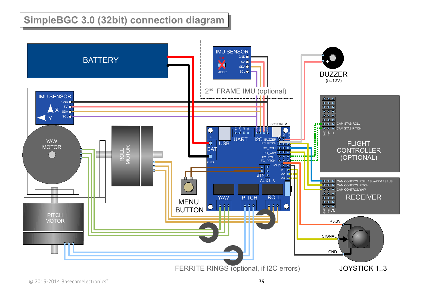# **SimpleBGC 3.0 (32bit) connection diagram**

<span id="page-38-0"></span>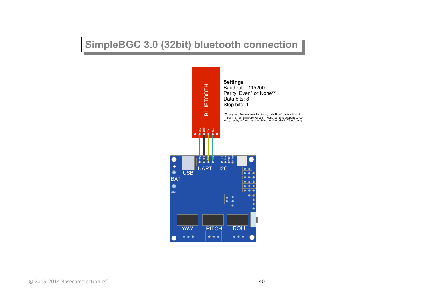# <span id="page-39-0"></span>**SimpleBGC 3.0 (32bit) bluetooth connection**